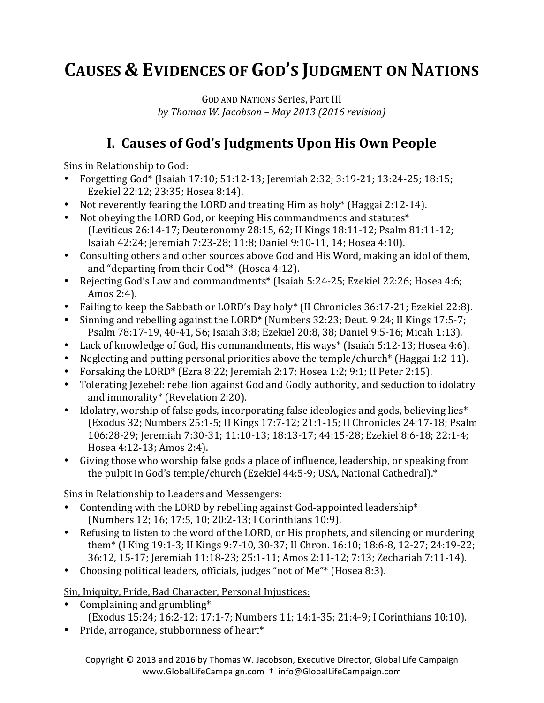# **CAUSES & EVIDENCES OF GOD'S JUDGMENT ON NATIONS**

GOD AND NATIONS Series, Part III *by Thomas W. Jacobson – May 2013 (2016 revision)*

## **I. Causes of God's Judgments Upon His Own People**

Sins in Relationship to God:

- Forgetting God\* (Isaiah 17:10;  $51:12-13$ ; Jeremiah 2:32; 3:19-21; 13:24-25; 18:15; Ezekiel 22:12; 23:35; Hosea 8:14).
- Not reverently fearing the LORD and treating Him as holy\* (Haggai 2:12-14).
- Not obeying the LORD God, or keeping His commandments and statutes $*$ (Leviticus 26:14-17; Deuteronomy 28:15, 62; II Kings 18:11-12; Psalm 81:11-12; Isaiah 42:24; Jeremiah 7:23-28; 11:8; Daniel 9:10-11, 14; Hosea 4:10).
- Consulting others and other sources above God and His Word, making an idol of them, and "departing from their  $God"$ \* (Hosea 4:12).
- Rejecting God's Law and commandments\* (Isaiah 5:24-25; Ezekiel 22:26; Hosea 4:6; Amos 2:4).
- Failing to keep the Sabbath or LORD's Day holy\* (II Chronicles 36:17-21; Ezekiel 22:8).
- Sinning and rebelling against the LORD\* (Numbers  $32:23$ ; Deut.  $9:24$ ; II Kings 17:5-7; Psalm 78:17-19, 40-41, 56; Isaiah 3:8; Ezekiel 20:8, 38; Daniel 9:5-16; Micah 1:13).
- Lack of knowledge of God, His commandments, His ways\* (Isaiah 5:12-13; Hosea 4:6).
- Neglecting and putting personal priorities above the temple/church\* (Haggai 1:2-11).
- Forsaking the LORD\* (Ezra 8:22; Jeremiah 2:17; Hosea 1:2; 9:1; II Peter 2:15).
- Tolerating Jezebel: rebellion against God and Godly authority, and seduction to idolatry and immorality\* (Revelation 2:20).
- Idolatry, worship of false gods, incorporating false ideologies and gods, believing lies\* (Exodus 32; Numbers 25:1-5; II Kings 17:7-12; 21:1-15; II Chronicles 24:17-18; Psalm 106:28-29; Jeremiah 7:30-31; 11:10-13; 18:13-17; 44:15-28; Ezekiel 8:6-18; 22:1-4; Hosea 4:12-13; Amos 2:4).
- Giving those who worship false gods a place of influence, leadership, or speaking from the pulpit in God's temple/church (Ezekiel 44:5-9; USA, National Cathedral).\*

Sins in Relationship to Leaders and Messengers:

- Contending with the LORD by rebelling against God-appointed leadership\* (Numbers 12; 16; 17:5, 10; 20:2-13; I Corinthians 10:9).
- Refusing to listen to the word of the LORD, or His prophets, and silencing or murdering them<sup>\*</sup> (I King 19:1-3; II Kings 9:7-10, 30-37; II Chron. 16:10; 18:6-8, 12-27; 24:19-22; 36:12, 15-17; Jeremiah 11:18-23; 25:1-11; Amos 2:11-12; 7:13; Zechariah 7:11-14).
- Choosing political leaders, officials, judges "not of Me"\* (Hosea 8:3).

Sin, Iniquity, Pride, Bad Character, Personal Injustices:

- Complaining and grumbling $*$ (Exodus 15:24; 16:2-12; 17:1-7; Numbers 11; 14:1-35; 21:4-9; I Corinthians 10:10).
- Pride, arrogance, stubbornness of heart\*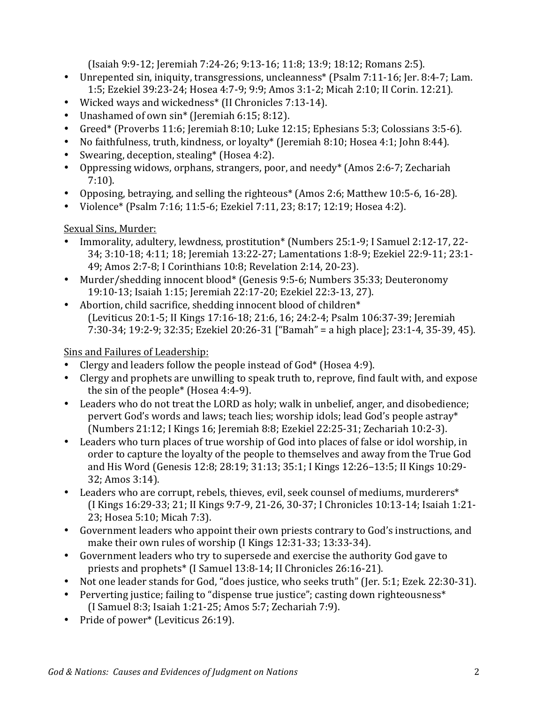(Isaiah 9:9-12; Jeremiah 7:24-26; 9:13-16; 11:8; 13:9; 18:12; Romans 2:5).

- Unrepented sin, iniquity, transgressions, uncleanness<sup>\*</sup> (Psalm 7:11-16; Jer. 8:4-7; Lam. 1:5; Ezekiel 39:23-24; Hosea 4:7-9; 9:9; Amos 3:1-2; Micah 2:10; II Corin. 12:21).
- Wicked ways and wickedness<sup>\*</sup> (II Chronicles 7:13-14).
- Unashamed of own sin<sup>\*</sup> (Jeremiah 6:15; 8:12).
- Greed\* (Proverbs 11:6; Jeremiah 8:10; Luke 12:15; Ephesians 5:3; Colossians 3:5-6).
- No faithfulness, truth, kindness, or loyalty\* (Jeremiah 8:10; Hosea 4:1; John 8:44).
- Swearing, deception, stealing\* (Hosea 4:2).
- Oppressing widows, orphans, strangers, poor, and needy\* (Amos 2:6-7; Zechariah 7:10).
- Opposing, betraying, and selling the righteous<sup>\*</sup> (Amos 2:6; Matthew 10:5-6, 16-28).
- Violence\* (Psalm 7:16; 11:5-6; Ezekiel 7:11, 23; 8:17; 12:19; Hosea 4:2).

#### Sexual Sins, Murder:

- Immorality, adultery, lewdness, prostitution\* (Numbers 25:1-9; I Samuel 2:12-17, 22-34; 3:10-18; 4:11; 18; Jeremiah 13:22-27; Lamentations 1:8-9; Ezekiel 22:9-11; 23:1-49; Amos 2:7-8; I Corinthians 10:8; Revelation 2:14, 20-23).
- Murder/shedding innocent blood\* (Genesis 9:5-6; Numbers 35:33; Deuteronomy 19:10-13; Isaiah 1:15; Jeremiah 22:17-20; Ezekiel 22:3-13, 27).
- Abortion, child sacrifice, shedding innocent blood of children $*$ (Leviticus 20:1-5; II Kings 17:16-18; 21:6, 16; 24:2-4; Psalm 106:37-39; Jeremiah 7:30-34; 19:2-9; 32:35; Ezekiel 20:26-31 ["Bamah" = a high place]; 23:1-4, 35-39, 45).

Sins and Failures of Leadership:

- Clergy and leaders follow the people instead of  $God^*$  (Hosea 4:9).
- Clergy and prophets are unwilling to speak truth to, reprove, find fault with, and expose the sin of the people\* (Hosea  $4:4-9$ ).
- Leaders who do not treat the LORD as holy; walk in unbelief, anger, and disobedience; pervert God's words and laws; teach lies; worship idols; lead God's people astray\* (Numbers 21:12; I Kings 16; Jeremiah 8:8; Ezekiel 22:25-31; Zechariah 10:2-3).
- Leaders who turn places of true worship of God into places of false or idol worship, in order to capture the loyalty of the people to themselves and away from the True God and His Word (Genesis 12:8; 28:19; 31:13; 35:1; I Kings 12:26-13:5; II Kings 10:29-32; Amos 3:14).
- Leaders who are corrupt, rebels, thieves, evil, seek counsel of mediums, murderers\* (I Kings 16:29-33; 21; II Kings 9:7-9, 21-26, 30-37; I Chronicles 10:13-14; Isaiah 1:21-23; Hosea 5:10; Micah 7:3).
- Government leaders who appoint their own priests contrary to God's instructions, and make their own rules of worship  $(I$  Kings  $12:31-33$ ;  $13:33-34$ ).
- Government leaders who try to supersede and exercise the authority God gave to priests and prophets\* (I Samuel 13:8-14; II Chronicles 26:16-21).
- Not one leader stands for God, "does justice, who seeks truth" (Jer. 5:1; Ezek. 22:30-31).
- Perverting justice; failing to "dispense true justice"; casting down righteousness\* (I Samuel 8:3; Isaiah 1:21-25; Amos 5:7; Zechariah 7:9).
- Pride of power<sup>\*</sup> (Leviticus  $26:19$ ).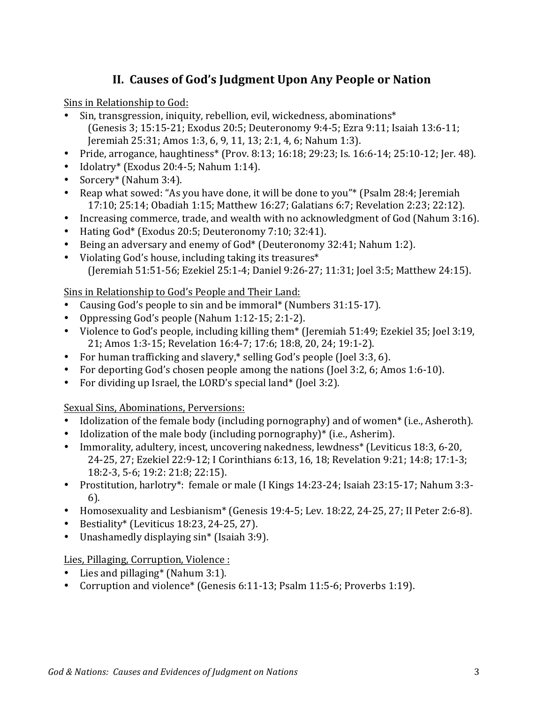### **II. Causes of God's Judgment Upon Any People or Nation**

Sins in Relationship to God:

- Sin, transgression, iniquity, rebellion, evil, wickedness, abominations\*  $(Genesis 3: 15:15-21: Exodus 20:5: Deuteronomy 9:4-5: Exra 9:11: Isaiah 13:6-11;$ Jeremiah 25:31; Amos 1:3, 6, 9, 11, 13; 2:1, 4, 6; Nahum 1:3).
- Pride, arrogance, haughtiness\* (Prov. 8:13; 16:18; 29:23; Is. 16:6-14; 25:10-12; Jer. 48).
- Idolatry\* (Exodus 20:4-5; Nahum 1:14).
- Sorcery\* (Nahum 3:4).
- Reap what sowed: "As you have done, it will be done to you"\* (Psalm 28:4; Jeremiah 17:10; 25:14; Obadiah 1:15; Matthew 16:27; Galatians 6:7; Revelation 2:23; 22:12).
- Increasing commerce, trade, and wealth with no acknowledgment of God (Nahum 3:16).
- Hating God\* (Exodus 20:5; Deuteronomy 7:10; 32:41).
- Being an adversary and enemy of God\* (Deuteronomy 32:41; Nahum 1:2).
- Violating God's house, including taking its treasures\* (Jeremiah 51:51-56; Ezekiel 25:1-4; Daniel 9:26-27; 11:31; Joel 3:5; Matthew 24:15).

Sins in Relationship to God's People and Their Land:

- Causing God's people to sin and be immoral\* (Numbers 31:15-17).
- Oppressing God's people (Nahum  $1:12-15$ ;  $2:1-2$ ).
- Violence to God's people, including killing them\* (Jeremiah 51:49; Ezekiel 35; Joel 3:19, 21; Amos 1:3-15; Revelation 16:4-7; 17:6; 18:8, 20, 24; 19:1-2).
- For human trafficking and slavery, $*$  selling God's people (Joel 3:3, 6).
- For deporting God's chosen people among the nations (Joel 3:2, 6; Amos 1:6-10).
- For dividing up Israel, the LORD's special land\* (Joel 3:2).

Sexual Sins, Abominations, Perversions:

- Idolization of the female body (including pornography) and of women<sup>\*</sup> (i.e., Asheroth).
- Idolization of the male body (including pornography) $*$  (i.e., Asherim).
- Immorality, adultery, incest, uncovering nakedness, lewdness<sup>\*</sup> (Leviticus 18:3, 6-20, 24-25, 27; Ezekiel 22:9-12; I Corinthians 6:13, 16, 18; Revelation 9:21; 14:8; 17:1-3; 18:2-3, 5-6; 19:2: 21:8; 22:15).
- Prostitution, harlotry\*: female or male (I Kings 14:23-24; Isaiah 23:15-17; Nahum 3:3-6).
- Homosexuality and Lesbianism\* (Genesis 19:4-5; Lev. 18:22, 24-25, 27; II Peter 2:6-8).
- Bestiality\* (Leviticus 18:23, 24-25, 27).
- Unashamedly displaying sin\* (Isaiah 3:9).

Lies, Pillaging, Corruption, Violence :

- Lies and pillaging\* (Nahum  $3:1$ ).
- Corruption and violence\* (Genesis 6:11-13; Psalm 11:5-6; Proverbs 1:19).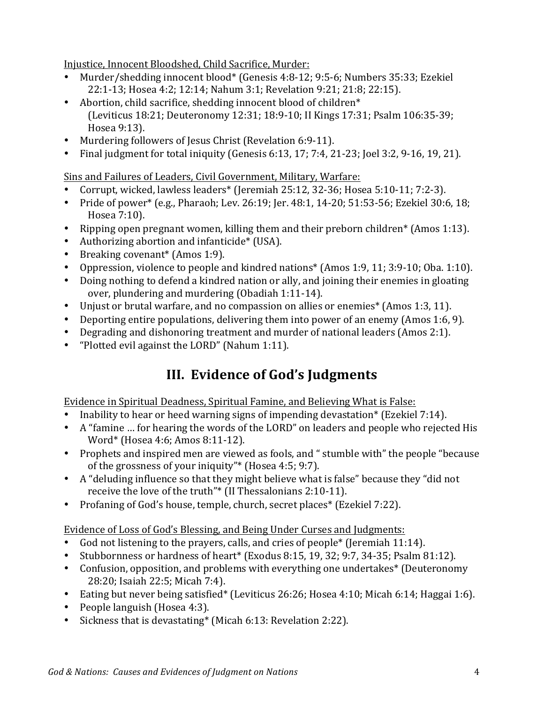Injustice, Innocent Bloodshed, Child Sacrifice, Murder:

- Murder/shedding innocent blood\* (Genesis 4:8-12; 9:5-6; Numbers 35:33; Ezekiel 22:1-13; Hosea 4:2; 12:14; Nahum 3:1; Revelation 9:21; 21:8; 22:15).
- Abortion, child sacrifice, shedding innocent blood of children $*$ (Leviticus 18:21; Deuteronomy 12:31; 18:9-10; II Kings 17:31; Psalm 106:35-39; Hosea 9:13).
- Murdering followers of Jesus Christ (Revelation 6:9-11).
- Final judgment for total iniquity (Genesis  $6:13, 17; 7:4, 21-23$ ; Joel 3:2, 9-16, 19, 21).

Sins and Failures of Leaders, Civil Government, Military, Warfare:

- Corrupt, wicked, lawless leaders\* (Jeremiah 25:12, 32-36; Hosea 5:10-11; 7:2-3).
- Pride of power\* (e.g., Pharaoh; Lev. 26:19; Jer. 48:1, 14-20; 51:53-56; Ezekiel 30:6, 18; Hosea 7:10).
- Ripping open pregnant women, killing them and their preborn children\* (Amos 1:13).
- Authorizing abortion and infanticide\* (USA).
- Breaking covenant<sup>\*</sup> (Amos 1:9).
- Oppression, violence to people and kindred nations\* (Amos 1:9, 11; 3:9-10; Oba. 1:10).
- Doing nothing to defend a kindred nation or ally, and joining their enemies in gloating over, plundering and murdering (Obadiah 1:11-14).
- Unjust or brutal warfare, and no compassion on allies or enemies<sup>\*</sup> (Amos 1:3, 11).
- Deporting entire populations, delivering them into power of an enemy (Amos 1:6, 9).
- Degrading and dishonoring treatment and murder of national leaders (Amos 2:1).
- "Plotted evil against the LORD" (Nahum 1:11).

# **III.** Evidence of God's Judgments

Evidence in Spiritual Deadness, Spiritual Famine, and Believing What is False:

- Inability to hear or heed warning signs of impending devastation\* (Ezekiel 7:14).
- A "famine ... for hearing the words of the LORD" on leaders and people who rejected His Word\* (Hosea 4:6; Amos 8:11-12).
- Prophets and inspired men are viewed as fools, and " stumble with" the people "because of the grossness of your iniquity"\* (Hosea  $4:5$ ; 9:7).
- A "deluding influence so that they might believe what is false" because they "did not receive the love of the truth"\* (II Thessalonians 2:10-11).
- Profaning of God's house, temple, church, secret places<sup>\*</sup> (Ezekiel 7:22).

Evidence of Loss of God's Blessing, and Being Under Curses and Judgments:

- God not listening to the prayers, calls, and cries of people<sup>\*</sup> (Jeremiah 11:14).
- Stubbornness or hardness of heart\* (Exodus 8:15, 19, 32; 9:7, 34-35; Psalm 81:12).
- Confusion, opposition, and problems with everything one undertakes<sup>\*</sup> (Deuteronomy 28:20; Isaiah 22:5; Micah 7:4).
- Eating but never being satisfied\* (Leviticus 26:26; Hosea 4:10; Micah 6:14; Haggai 1:6).
- People languish (Hosea  $4:3$ ).
- Sickness that is devastating\* (Micah  $6:13$ : Revelation 2:22).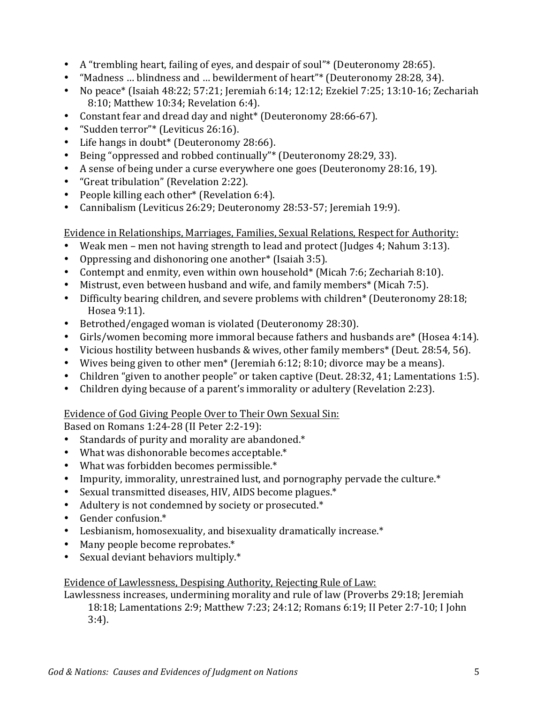- A "trembling heart, failing of eves, and despair of soul"\* (Deuteronomy 28:65).
- "Madness ... blindness and ... bewilderment of heart"\* (Deuteronomy 28:28, 34).
- No peace\* (Isaiah 48:22;  $57:21$ ; Jeremiah 6:14; 12:12; Ezekiel 7:25; 13:10-16; Zechariah 8:10; Matthew 10:34; Revelation 6:4).
- Constant fear and dread day and night\* (Deuteronomy 28:66-67).
- "Sudden terror"\* (Leviticus 26:16).
- Life hangs in doubt\* (Deuteronomy 28:66).
- Being "oppressed and robbed continually"\* (Deuteronomy 28:29, 33).
- A sense of being under a curse everywhere one goes (Deuteronomy 28:16, 19).
- "Great tribulation" (Revelation 2:22).
- People killing each other\* (Revelation 6:4).
- Cannibalism (Leviticus 26:29; Deuteronomy 28:53-57; Jeremiah 19:9).

Evidence in Relationships, Marriages, Families, Sexual Relations, Respect for Authority:

- Weak men men not having strength to lead and protect (Judges 4; Nahum 3:13).
- Oppressing and dishonoring one another\* (Isaiah  $3:5$ ).
- Contempt and enmity, even within own household\* (Micah 7:6; Zechariah 8:10).
- Mistrust, even between husband and wife, and family members<sup>\*</sup> (Micah 7:5).
- Difficulty bearing children, and severe problems with children<sup>\*</sup> (Deuteronomy 28:18; Hosea 9:11).
- Betrothed/engaged woman is violated (Deuteronomy 28:30).
- Girls/women becoming more immoral because fathers and husbands are\* (Hosea 4:14).
- Vicious hostility between husbands & wives, other family members<sup>\*</sup> (Deut. 28:54, 56).
- Wives being given to other men<sup>\*</sup> (Jeremiah 6:12; 8:10; divorce may be a means).
- Children "given to another people" or taken captive (Deut. 28:32, 41; Lamentations 1:5).
- Children dying because of a parent's immorality or adultery (Revelation 2:23).

#### Evidence of God Giving People Over to Their Own Sexual Sin:

Based on Romans 1:24-28 (II Peter 2:2-19):

- Standards of purity and morality are abandoned. $*$
- What was dishonorable becomes acceptable.\*
- What was forbidden becomes permissible. $*$
- Impurity, immorality, unrestrained lust, and pornography pervade the culture.\*
- Sexual transmitted diseases, HIV, AIDS become plagues.\*
- Adultery is not condemned by society or prosecuted.\*
- Gender confusion.\*
- Lesbianism, homosexuality, and bisexuality dramatically increase.\*
- Many people become reprobates.\*
- Sexual deviant behaviors multiply.\*

#### Evidence of Lawlessness, Despising Authority, Rejecting Rule of Law:

Lawlessness increases, undermining morality and rule of law (Proverbs 29:18; Jeremiah 18:18; Lamentations 2:9; Matthew 7:23; 24:12; Romans 6:19; II Peter 2:7-10; I John 3:4).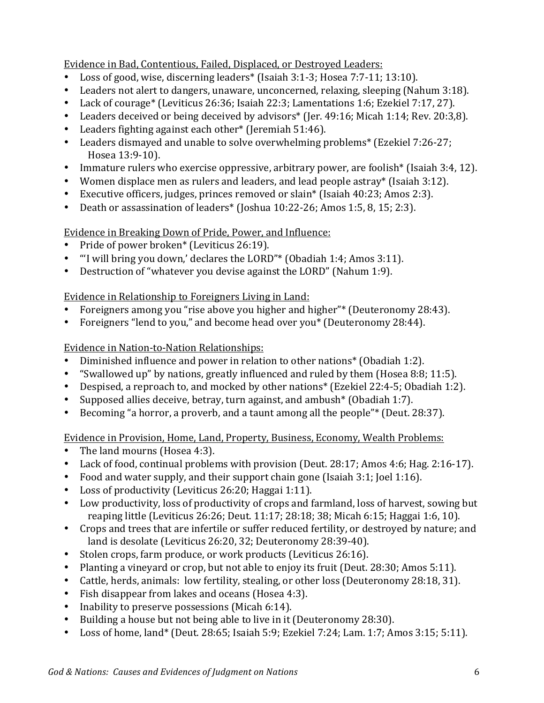Evidence in Bad, Contentious, Failed, Displaced, or Destroyed Leaders:

- Loss of good, wise, discerning leaders\* (Isaiah  $3:1-3$ ; Hosea  $7:7-11$ ;  $13:10$ ).
- Leaders not alert to dangers, unaware, unconcerned, relaxing, sleeping (Nahum 3:18).
- Lack of courage<sup>\*</sup> (Leviticus 26:36; Isaiah 22:3; Lamentations 1:6; Ezekiel 7:17, 27).
- Leaders deceived or being deceived by advisors\* (Jer. 49:16; Micah 1:14; Rev. 20:3,8).
- Leaders fighting against each other\* (Jeremiah 51:46).
- Leaders dismayed and unable to solve overwhelming problems<sup>\*</sup> (Ezekiel  $7:26-27$ ; Hosea 13:9-10).
- Immature rulers who exercise oppressive, arbitrary power, are foolish<sup>\*</sup> (Isaiah 3:4, 12).
- Women displace men as rulers and leaders, and lead people astray\* (Isaiah 3:12).
- Executive officers, judges, princes removed or slain\* (Isaiah 40:23; Amos 2:3).
- Death or assassination of leaders\* (Joshua  $10:22-26$ ; Amos  $1:5, 8, 15; 2:3$ ).

#### Evidence in Breaking Down of Pride, Power, and Influence:

- Pride of power broken\* (Leviticus 26:19).
- "I will bring you down,' declares the LORD"\* (Obadiah 1:4; Amos 3:11).
- Destruction of "whatever you devise against the LORD" (Nahum 1:9).

#### Evidence in Relationship to Foreigners Living in Land:

- Foreigners among you "rise above you higher and higher"\* (Deuteronomy 28:43).
- Foreigners "lend to you," and become head over you\* (Deuteronomy 28:44).

#### Evidence in Nation-to-Nation Relationships:

- Diminished influence and power in relation to other nations\* (Obadiah 1:2).
- "Swallowed up" by nations, greatly influenced and ruled by them (Hosea 8:8; 11:5).
- Despised, a reproach to, and mocked by other nations<sup>\*</sup> (Ezekiel 22:4-5; Obadiah 1:2).
- Supposed allies deceive, betray, turn against, and ambush<sup>\*</sup> (Obadiah 1:7).
- Becoming "a horror, a proverb, and a taunt among all the people"\* (Deut. 28:37).

### Evidence in Provision, Home, Land, Property, Business, Economy, Wealth Problems:

- The land mourns (Hosea 4:3).
- Lack of food, continual problems with provision (Deut. 28:17; Amos 4:6; Hag. 2:16-17).
- Food and water supply, and their support chain gone (Isaiah  $3:1$ ; Joel  $1:16$ ).
- Loss of productivity (Leviticus 26:20; Haggai 1:11).
- Low productivity, loss of productivity of crops and farmland, loss of harvest, sowing but reaping little (Leviticus 26:26; Deut. 11:17; 28:18; 38; Micah 6:15; Haggai 1:6, 10).
- Crops and trees that are infertile or suffer reduced fertility, or destroyed by nature; and land is desolate (Leviticus 26:20, 32; Deuteronomy 28:39-40).
- Stolen crops, farm produce, or work products (Leviticus 26:16).
- Planting a vineyard or crop, but not able to enjoy its fruit (Deut. 28:30; Amos 5:11).
- Cattle, herds, animals: low fertility, stealing, or other loss (Deuteronomy 28:18, 31).
- Fish disappear from lakes and oceans (Hosea 4:3).
- Inability to preserve possessions  $(Micah 6:14)$ .
- Building a house but not being able to live in it (Deuteronomy 28:30).
- Loss of home, land\* (Deut. 28:65; Isaiah 5:9; Ezekiel 7:24; Lam. 1:7; Amos 3:15; 5:11).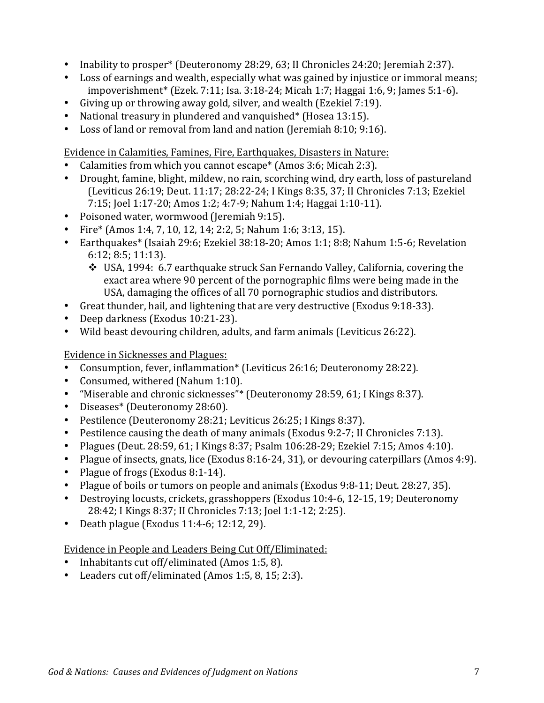- Inability to prosper<sup>\*</sup> (Deuteronomy 28:29, 63; II Chronicles 24:20; Jeremiah 2:37).
- Loss of earnings and wealth, especially what was gained by injustice or immoral means; impoverishment\* (Ezek. 7:11; Isa. 3:18-24; Micah 1:7; Haggai 1:6, 9; James 5:1-6).
- Giving up or throwing away gold, silver, and wealth (Ezekiel 7:19).
- National treasury in plundered and vanquished\* (Hosea 13:15).
- Loss of land or removal from land and nation (Jeremiah 8:10; 9:16).

Evidence in Calamities, Famines, Fire, Earthquakes, Disasters in Nature:

- Calamities from which you cannot escape\* (Amos 3:6; Micah 2:3).
- Drought, famine, blight, mildew, no rain, scorching wind, dry earth, loss of pastureland (Leviticus 26:19; Deut. 11:17; 28:22-24; I Kings 8:35, 37; II Chronicles 7:13; Ezekiel 7:15; Joel 1:17-20; Amos 1:2; 4:7-9; Nahum 1:4; Haggai 1:10-11).
- Poisoned water, wormwood (Jeremiah 9:15).
- Fire\* (Amos 1:4, 7, 10, 12, 14; 2:2, 5; Nahum 1:6; 3:13, 15).
- Earthquakes\* (Isaiah 29:6; Ezekiel 38:18-20; Amos 1:1; 8:8; Nahum 1:5-6; Revelation 6:12; 8:5; 11:13).
	- $\div$  USA, 1994: 6.7 earthquake struck San Fernando Valley, California, covering the exact area where 90 percent of the pornographic films were being made in the USA, damaging the offices of all 70 pornographic studios and distributors.
- Great thunder, hail, and lightening that are very destructive (Exodus 9:18-33).
- Deep darkness (Exodus 10:21-23).
- Wild beast devouring children, adults, and farm animals (Leviticus 26:22).

Evidence in Sicknesses and Plagues:

- Consumption, fever, inflammation\* (Leviticus 26:16; Deuteronomy 28:22).
- Consumed, withered (Nahum 1:10).
- "Miserable and chronic sicknesses"\* (Deuteronomy 28:59, 61; I Kings 8:37).
- Diseases\* (Deuteronomy 28:60).
- Pestilence (Deuteronomy 28:21; Leviticus 26:25; I Kings 8:37).
- Pestilence causing the death of many animals (Exodus 9:2-7; II Chronicles 7:13).
- Plagues (Deut. 28:59, 61; I Kings 8:37; Psalm  $106:28-29$ ; Ezekiel 7:15; Amos 4:10).
- Plague of insects, gnats, lice (Exodus 8:16-24, 31), or devouring caterpillars (Amos 4:9).
- Plague of frogs (Exodus 8:1-14).
- Plague of boils or tumors on people and animals (Exodus 9:8-11; Deut. 28:27, 35).
- Destroying locusts, crickets, grasshoppers (Exodus 10:4-6, 12-15, 19; Deuteronomy 28:42; I Kings 8:37; II Chronicles 7:13; Joel 1:1-12; 2:25).
- Death plague (Exodus 11:4-6; 12:12, 29).

Evidence in People and Leaders Being Cut Off/Eliminated:

- Inhabitants cut off/eliminated (Amos 1:5, 8).
- Leaders cut off/eliminated (Amos 1:5, 8, 15; 2:3).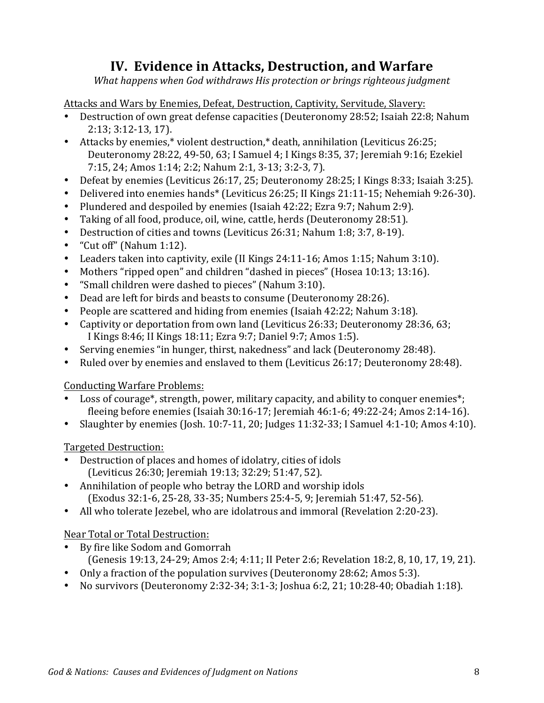### **IV. Evidence in Attacks, Destruction, and Warfare**

*What happens when God withdraws His protection or brings righteous judgment* 

Attacks and Wars by Enemies, Defeat, Destruction, Captivity, Servitude, Slavery:

- Destruction of own great defense capacities (Deuteronomy 28:52; Isaiah 22:8; Nahum 2:13; 3:12-13, 17).
- Attacks by enemies,\* violent destruction,\* death, annihilation (Leviticus 26:25; Deuteronomy 28:22, 49-50, 63; I Samuel 4; I Kings 8:35, 37; Jeremiah 9:16; Ezekiel 7:15, 24; Amos 1:14; 2:2; Nahum 2:1, 3-13; 3:2-3, 7).
- Defeat by enemies (Leviticus 26:17, 25; Deuteronomy 28:25; I Kings 8:33; Isaiah 3:25).
- Delivered into enemies hands\* (Leviticus 26:25; II Kings 21:11-15; Nehemiah 9:26-30).
- Plundered and despoiled by enemies (Isaiah 42:22; Ezra 9:7; Nahum 2:9).
- Taking of all food, produce, oil, wine, cattle, herds (Deuteronomy 28:51).
- Destruction of cities and towns (Leviticus 26:31; Nahum 1:8; 3:7, 8-19).
- "Cut off" (Nahum  $1:12$ ).
- Leaders taken into captivity, exile (II Kings 24:11-16; Amos 1:15; Nahum 3:10).
- Mothers "ripped open" and children "dashed in pieces" (Hosea 10:13; 13:16).
- "Small children were dashed to pieces" (Nahum 3:10).
- Dead are left for birds and beasts to consume (Deuteronomy 28:26).
- People are scattered and hiding from enemies (Isaiah 42:22; Nahum 3:18).
- Captivity or deportation from own land (Leviticus 26:33; Deuteronomy 28:36, 63; I Kings 8:46; II Kings 18:11; Ezra 9:7; Daniel 9:7; Amos 1:5).
- Serving enemies "in hunger, thirst, nakedness" and lack (Deuteronomy 28:48).
- Ruled over by enemies and enslaved to them (Leviticus 26:17; Deuteronomy 28:48).

Conducting Warfare Problems:

- Loss of courage\*, strength, power, military capacity, and ability to conquer enemies\*; fleeing before enemies (Isaiah 30:16-17; Jeremiah 46:1-6; 49:22-24; Amos 2:14-16).
- Slaughter by enemies (Josh. 10:7-11, 20; Judges 11:32-33; I Samuel 4:1-10; Amos 4:10).

#### Targeted Destruction:

- Destruction of places and homes of idolatry, cities of idols (Leviticus 26:30; Jeremiah 19:13; 32:29; 51:47, 52).
- Annihilation of people who betray the LORD and worship idols (Exodus 32:1-6, 25-28, 33-35; Numbers 25:4-5, 9; Jeremiah 51:47, 52-56).
- All who tolerate Jezebel, who are idolatrous and immoral (Revelation 2:20-23).

#### Near Total or Total Destruction:

- By fire like Sodom and Gomorrah (Genesis 19:13, 24-29; Amos 2:4; 4:11; II Peter 2:6; Revelation 18:2, 8, 10, 17, 19, 21).
- Only a fraction of the population survives (Deuteronomy 28:62; Amos 5:3).
- No survivors (Deuteronomy 2:32-34; 3:1-3; Joshua 6:2, 21; 10:28-40; Obadiah 1:18).